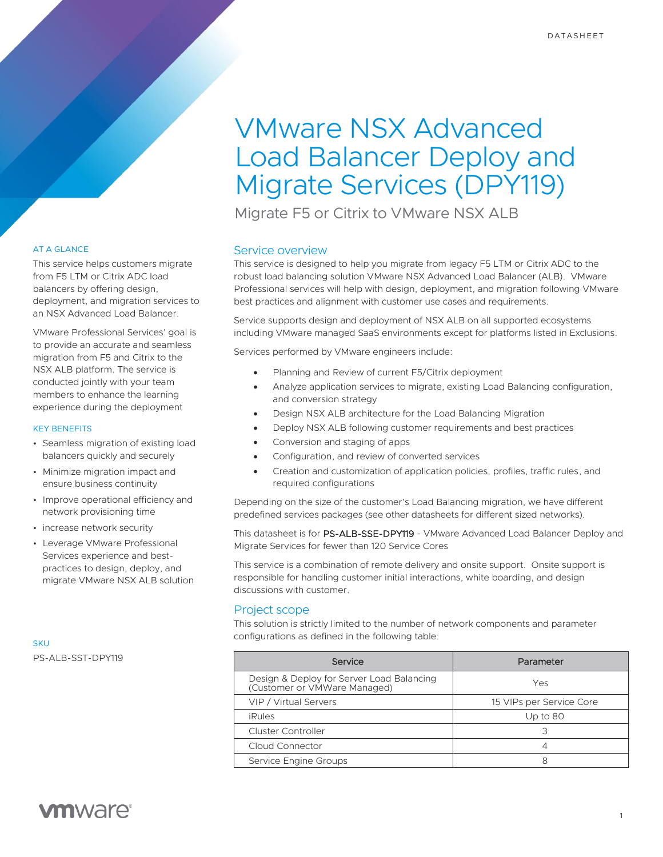# VMware NSX Advanced Load Balancer Deploy and Migrate Services (DPY119)

Migrate F5 or Citrix to VMware NSX ALB

# Service overview

This service is designed to help you migrate from legacy F5 LTM or Citrix ADC to the robust load balancing solution VMware NSX Advanced Load Balancer (ALB). VMware Professional services will help with design, deployment, and migration following VMware best practices and alignment with customer use cases and requirements.

Service supports design and deployment of NSX ALB on all supported ecosystems including VMware managed SaaS environments except for platforms listed in Exclusions.

Services performed by VMware engineers include:

- Planning and Review of current F5/Citrix deployment
- Analyze application services to migrate, existing Load Balancing configuration, and conversion strategy
- Design NSX ALB architecture for the Load Balancing Migration
- Deploy NSX ALB following customer requirements and best practices
- Conversion and staging of apps
- Configuration, and review of converted services
- Creation and customization of application policies, profiles, traffic rules, and required configurations

Depending on the size of the customer's Load Balancing migration, we have different predefined services packages (see other datasheets for different sized networks).

This datasheet is for PS-ALB-SSE-DPY119 - VMware Advanced Load Balancer Deploy and Migrate Services for fewer than 120 Service Cores

This service is a combination of remote delivery and onsite support. Onsite support is responsible for handling customer initial interactions, white boarding, and design discussions with customer.

# Project scope

This solution is strictly limited to the number of network components and parameter configurations as defined in the following table:

| Service                                                                   | Parameter                |
|---------------------------------------------------------------------------|--------------------------|
| Design & Deploy for Server Load Balancing<br>(Customer or VMWare Managed) | Yes                      |
| VIP / Virtual Servers                                                     | 15 VIPs per Service Core |
| <i>iRules</i>                                                             | Up to 80                 |
| <b>Cluster Controller</b>                                                 |                          |
| Cloud Connector                                                           |                          |
| Service Engine Groups                                                     |                          |

# AT A GLANCE

This service helps customers migrate from F5 LTM or Citrix ADC load balancers by offering design, deployment, and migration services to an NSX Advanced Load Balancer.

VMware Professional Services' goal is to provide an accurate and seamless migration from F5 and Citrix to the NSX ALB platform. The service is conducted jointly with your team members to enhance the learning experience during the deployment

# KEY BENEFITS

- Seamless migration of existing load balancers quickly and securely
- Minimize migration impact and ensure business continuity
- Improve operational efficiency and network provisioning time
- increase network security
- Leverage VMware Professional Services experience and bestpractices to design, deploy, and migrate VMware NSX ALB solution

**SKU** PS-ALB-SST-DPY119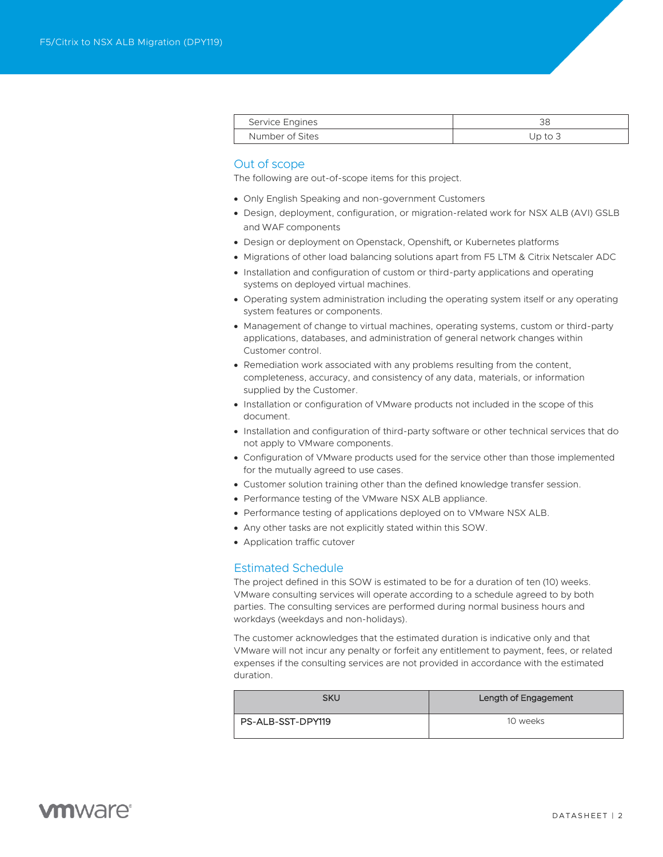| Service Engines |         |
|-----------------|---------|
| Number of Sites | Jp to 3 |

# Out of scope

The following are out-of-scope items for this project.

- Only English Speaking and non-government Customers
- Design, deployment, configuration, or migration-related work for NSX ALB (AVI) GSLB and WAF components
- Design or deployment on Openstack, Openshift, or Kubernetes platforms
- Migrations of other load balancing solutions apart from F5 LTM & Citrix Netscaler ADC
- Installation and configuration of custom or third-party applications and operating systems on deployed virtual machines.
- Operating system administration including the operating system itself or any operating system features or components.
- Management of change to virtual machines, operating systems, custom or third-party applications, databases, and administration of general network changes within Customer control.
- Remediation work associated with any problems resulting from the content, completeness, accuracy, and consistency of any data, materials, or information supplied by the Customer.
- Installation or configuration of VMware products not included in the scope of this document.
- Installation and configuration of third-party software or other technical services that do not apply to VMware components.
- Configuration of VMware products used for the service other than those implemented for the mutually agreed to use cases.
- Customer solution training other than the defined knowledge transfer session.
- Performance testing of the VMware NSX ALB appliance.
- Performance testing of applications deployed on to VMware NSX ALB.
- Any other tasks are not explicitly stated within this SOW.
- Application traffic cutover

# Estimated Schedule

The project defined in this SOW is estimated to be for a duration of ten (10) weeks. VMware consulting services will operate according to a schedule agreed to by both parties. The consulting services are performed during normal business hours and workdays (weekdays and non-holidays).

The customer acknowledges that the estimated duration is indicative only and that VMware will not incur any penalty or forfeit any entitlement to payment, fees, or related expenses if the consulting services are not provided in accordance with the estimated duration.

| SKU               | Length of Engagement |
|-------------------|----------------------|
| PS-ALB-SST-DPY119 | 10 weeks             |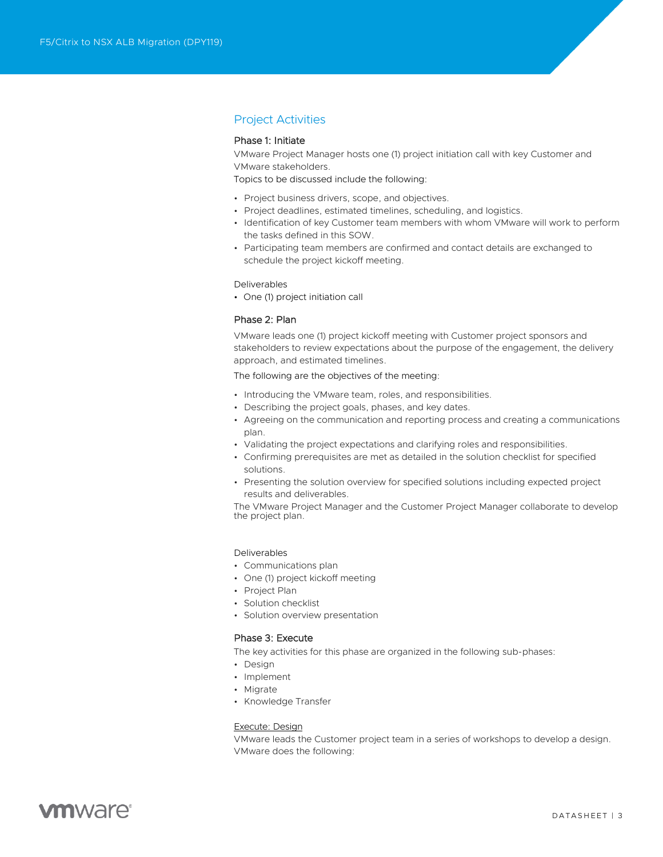# Project Activities

# Phase 1: Initiate

VMware Project Manager hosts one (1) project initiation call with key Customer and VMware stakeholders.

Topics to be discussed include the following:

- Project business drivers, scope, and objectives.
- Project deadlines, estimated timelines, scheduling, and logistics.
- Identification of key Customer team members with whom VMware will work to perform the tasks defined in this SOW.
- Participating team members are confirmed and contact details are exchanged to schedule the project kickoff meeting.

#### Deliverables

• One (1) project initiation call

#### Phase 2: Plan

VMware leads one (1) project kickoff meeting with Customer project sponsors and stakeholders to review expectations about the purpose of the engagement, the delivery approach, and estimated timelines.

The following are the objectives of the meeting:

- Introducing the VMware team, roles, and responsibilities.
- Describing the project goals, phases, and key dates.
- Agreeing on the communication and reporting process and creating a communications plan.
- Validating the project expectations and clarifying roles and responsibilities.
- Confirming prerequisites are met as detailed in the solution checklist for specified solutions.
- Presenting the solution overview for specified solutions including expected project results and deliverables.

The VMware Project Manager and the Customer Project Manager collaborate to develop the project plan.

#### Deliverables

- Communications plan
- One (1) project kickoff meeting
- Project Plan
- Solution checklist
- Solution overview presentation

# Phase 3: Execute

The key activities for this phase are organized in the following sub-phases:

- Design
- Implement
- Migrate
- Knowledge Transfer

## Execute: Design

VMware leads the Customer project team in a series of workshops to develop a design. VMware does the following:

# **vm**ware<sup>®</sup>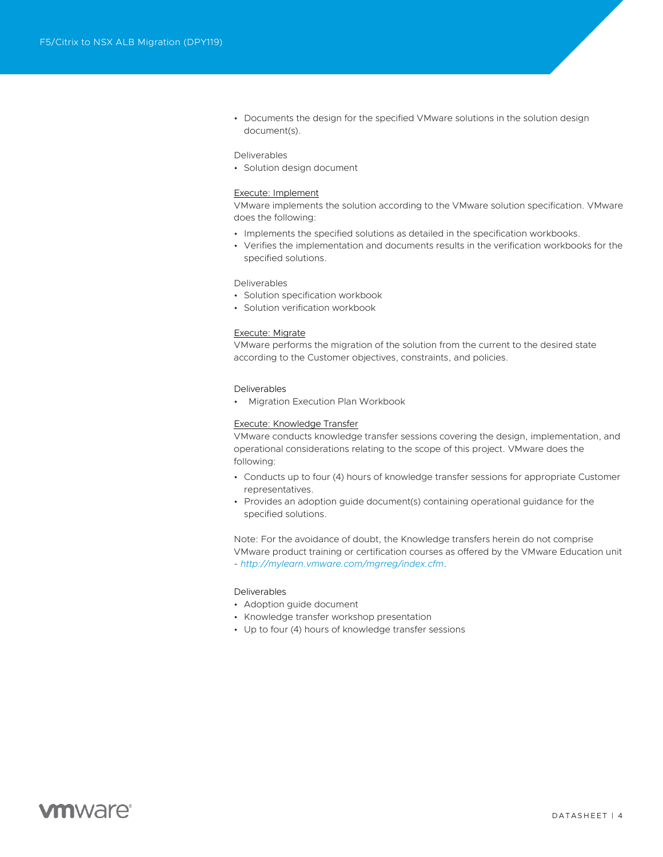• Documents the design for the specified VMware solutions in the solution design document(s).

#### Deliverables

• Solution design document

#### Execute: Implement

VMware implements the solution according to the VMware solution specification. VMware does the following:

- Implements the specified solutions as detailed in the specification workbooks.
- Verifies the implementation and documents results in the verification workbooks for the specified solutions.

#### Deliverables

- Solution specification workbook
- Solution verification workbook

#### Execute: Migrate

VMware performs the migration of the solution from the current to the desired state according to the Customer objectives, constraints, and policies.

#### Deliverables

• Migration Execution Plan Workbook

#### Execute: Knowledge Transfer

VMware conducts knowledge transfer sessions covering the design, implementation, and operational considerations relating to the scope of this project. VMware does the following:

- Conducts up to four (4) hours of knowledge transfer sessions for appropriate Customer representatives.
- Provides an adoption guide document(s) containing operational guidance for the specified solutions.

Note: For the avoidance of doubt, the Knowledge transfers herein do not comprise VMware product training or certification courses as offered by the VMware Education unit - *<http://mylearn.vmware.com/mgrreg/index.cfm>*.

#### Deliverables

- Adoption guide document
- Knowledge transfer workshop presentation
- Up to four (4) hours of knowledge transfer sessions

# **vm**ware<sup>®</sup>